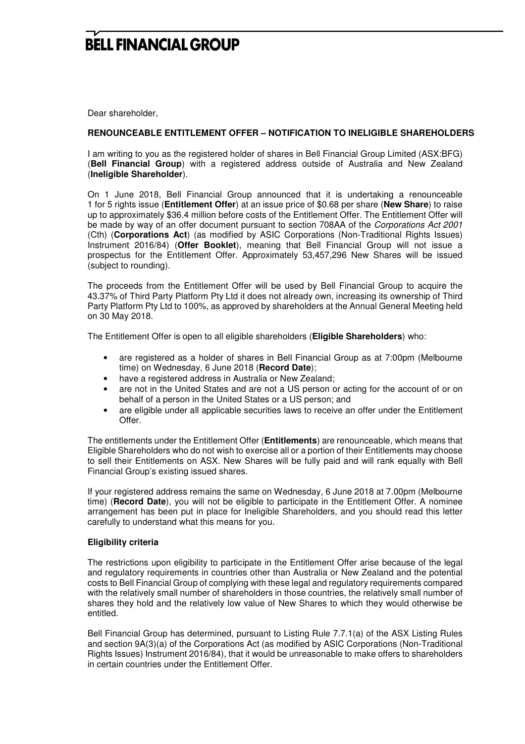# **BELL FINANCIAL GROUP**

Dear shareholder,

### **RENOUNCEABLE ENTITLEMENT OFFER – NOTIFICATION TO INELIGIBLE SHAREHOLDERS**

I am writing to you as the registered holder of shares in Bell Financial Group Limited (ASX:BFG) (**Bell Financial Group**) with a registered address outside of Australia and New Zealand (**Ineligible Shareholder**).

On 1 June 2018, Bell Financial Group announced that it is undertaking a renounceable 1 for 5 rights issue (**Entitlement Offer**) at an issue price of \$0.68 per share (**New Share**) to raise up to approximately \$36.4 million before costs of the Entitlement Offer. The Entitlement Offer will be made by way of an offer document pursuant to section 708AA of the Corporations Act 2001 (Cth) (**Corporations Act**) (as modified by ASIC Corporations (Non-Traditional Rights Issues) Instrument 2016/84) (**Offer Booklet**), meaning that Bell Financial Group will not issue a prospectus for the Entitlement Offer. Approximately 53,457,296 New Shares will be issued (subject to rounding).

The proceeds from the Entitlement Offer will be used by Bell Financial Group to acquire the 43.37% of Third Party Platform Pty Ltd it does not already own, increasing its ownership of Third Party Platform Pty Ltd to 100%, as approved by shareholders at the Annual General Meeting held on 30 May 2018.

The Entitlement Offer is open to all eligible shareholders (**Eligible Shareholders**) who:

- are registered as a holder of shares in Bell Financial Group as at 7:00pm (Melbourne time) on Wednesday, 6 June 2018 (**Record Date**);
- have a registered address in Australia or New Zealand;
- are not in the United States and are not a US person or acting for the account of or on behalf of a person in the United States or a US person; and
- are eligible under all applicable securities laws to receive an offer under the Entitlement Offer.

The entitlements under the Entitlement Offer (**Entitlements**) are renounceable, which means that Eligible Shareholders who do not wish to exercise all or a portion of their Entitlements may choose to sell their Entitlements on ASX. New Shares will be fully paid and will rank equally with Bell Financial Group's existing issued shares.

If your registered address remains the same on Wednesday, 6 June 2018 at 7.00pm (Melbourne time) (**Record Date**), you will not be eligible to participate in the Entitlement Offer. A nominee arrangement has been put in place for Ineligible Shareholders, and you should read this letter carefully to understand what this means for you.

### **Eligibility criteria**

The restrictions upon eligibility to participate in the Entitlement Offer arise because of the legal and regulatory requirements in countries other than Australia or New Zealand and the potential costs to Bell Financial Group of complying with these legal and regulatory requirements compared with the relatively small number of shareholders in those countries, the relatively small number of shares they hold and the relatively low value of New Shares to which they would otherwise be entitled.

Bell Financial Group has determined, pursuant to Listing Rule 7.7.1(a) of the ASX Listing Rules and section 9A(3)(a) of the Corporations Act (as modified by ASIC Corporations (Non-Traditional Rights Issues) Instrument 2016/84), that it would be unreasonable to make offers to shareholders in certain countries under the Entitlement Offer.